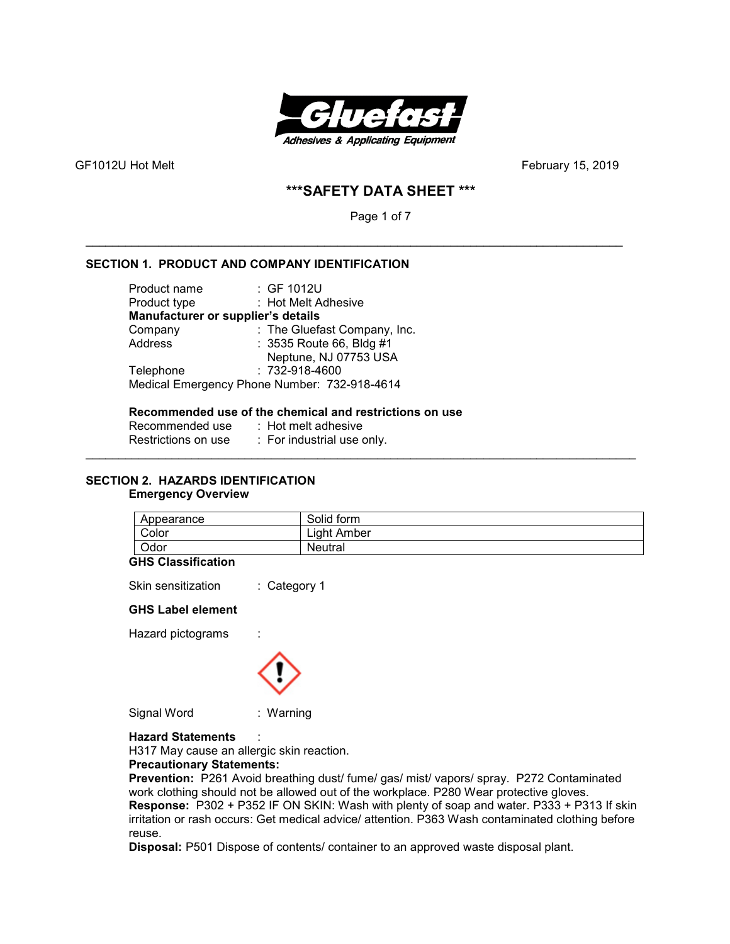

# **\*\*\*SAFETY DATA SHEET \*\*\***

Page 1 of 7

\_\_\_\_\_\_\_\_\_\_\_\_\_\_\_\_\_\_\_\_\_\_\_\_\_\_\_\_\_\_\_\_\_\_\_\_\_\_\_\_\_\_\_\_\_\_\_\_\_\_\_\_\_\_\_\_\_\_\_\_\_\_\_\_\_\_\_\_\_\_\_\_\_\_\_\_\_\_\_\_\_

# **SECTION 1. PRODUCT AND COMPANY IDENTIFICATION**

| Product name                       | : GF 1012U                                   |
|------------------------------------|----------------------------------------------|
| Product type                       | : Hot Melt Adhesive                          |
| Manufacturer or supplier's details |                                              |
| Company                            | : The Gluefast Company, Inc.                 |
| Address                            | : 3535 Route 66, Bldg #1                     |
|                                    | Neptune, NJ 07753 USA                        |
| Telephone                          | : 732-918-4600                               |
|                                    | Medical Emergency Phone Number: 732-918-4614 |

#### **Recommended use of the chemical and restrictions on use**

| Recommended use     | $\therefore$ Hot melt adhesive |
|---------------------|--------------------------------|
| Restrictions on use | : For industrial use only.     |

### **SECTION 2. HAZARDS IDENTIFICATION Emergency Overview**

| Appearance | Solid form  |
|------------|-------------|
| Color      | ∟iaht Amber |
| Odor       | Neutral     |

\_\_\_\_\_\_\_\_\_\_\_\_\_\_\_\_\_\_\_\_\_\_\_\_\_\_\_\_\_\_\_\_\_\_\_\_\_\_\_\_\_\_\_\_\_\_\_\_\_\_\_\_\_\_\_\_\_\_\_\_\_\_\_\_\_\_\_\_\_\_\_\_\_\_\_\_\_\_\_\_\_\_\_

#### **GHS Classification**

Skin sensitization : Category 1

## **GHS Label element**

Hazard pictograms :



Signal Word : Warning

**Hazard Statements** :

H317 May cause an allergic skin reaction.

#### **Precautionary Statements:**

**Prevention:** P261 Avoid breathing dust/ fume/ gas/ mist/ vapors/ spray. P272 Contaminated work clothing should not be allowed out of the workplace. P280 Wear protective gloves. **Response:** P302 + P352 IF ON SKIN: Wash with plenty of soap and water. P333 + P313 If skin irritation or rash occurs: Get medical advice/ attention. P363 Wash contaminated clothing before reuse.

**Disposal:** P501 Dispose of contents/ container to an approved waste disposal plant.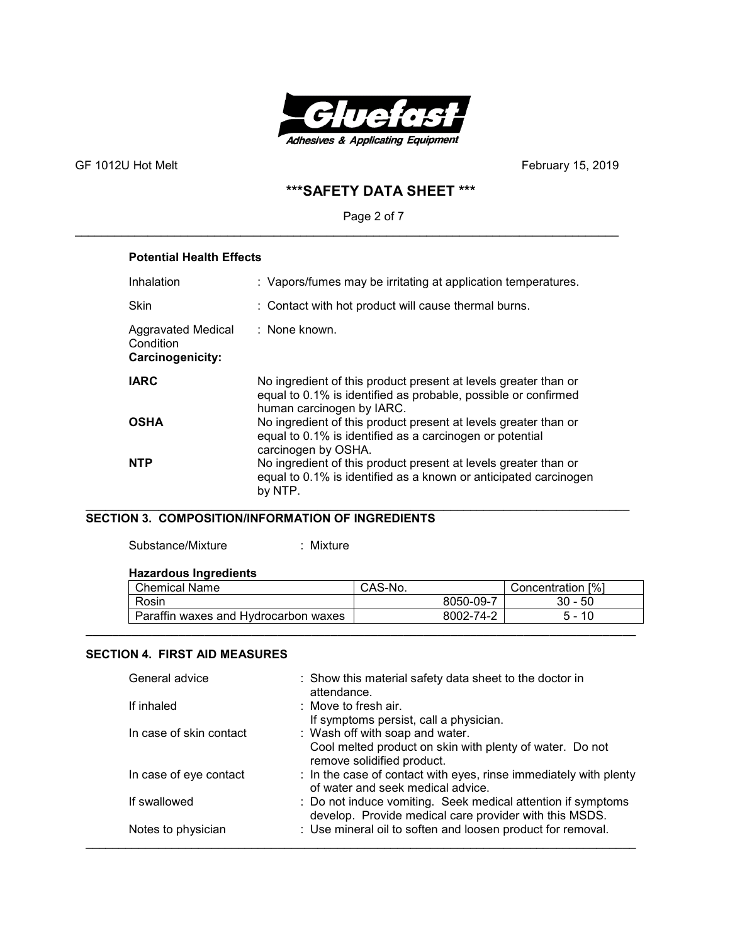

# **\*\*\*SAFETY DATA SHEET \*\*\***

# Page 2 of 7

\_\_\_\_\_\_\_\_\_\_\_\_\_\_\_\_\_\_\_\_\_\_\_\_\_\_\_\_\_\_\_\_\_\_\_\_\_\_\_\_\_\_\_\_\_\_\_\_\_\_\_\_\_\_\_\_\_\_\_\_\_\_\_\_\_\_\_\_\_\_\_\_\_\_\_\_\_\_\_\_\_\_

# **Potential Health Effects**

| Inhalation                                                 | : Vapors/fumes may be irritating at application temperatures.                                                                                                  |
|------------------------------------------------------------|----------------------------------------------------------------------------------------------------------------------------------------------------------------|
| <b>Skin</b>                                                | : Contact with hot product will cause thermal burns.                                                                                                           |
| Aggravated Medical<br>Condition<br><b>Carcinogenicity:</b> | : None known.                                                                                                                                                  |
| <b>IARC</b>                                                | No ingredient of this product present at levels greater than or<br>equal to 0.1% is identified as probable, possible or confirmed<br>human carcinogen by IARC. |
| <b>OSHA</b>                                                | No ingredient of this product present at levels greater than or<br>equal to 0.1% is identified as a carcinogen or potential<br>carcinogen by OSHA.             |
| <b>NTP</b>                                                 | No ingredient of this product present at levels greater than or<br>equal to 0.1% is identified as a known or anticipated carcinogen<br>by NTP.                 |

#### \_\_\_\_\_\_\_\_\_\_\_\_\_\_\_\_\_\_\_\_\_\_\_\_\_\_\_\_\_\_\_\_\_\_\_\_\_\_\_\_\_\_\_\_\_\_\_\_\_\_\_\_\_\_\_\_\_\_\_\_\_\_\_\_\_\_\_\_\_\_\_\_\_\_\_\_\_\_\_\_\_\_ **SECTION 3. COMPOSITION/INFORMATION OF INGREDIENTS**

Substance/Mixture : Mixture

## **Hazardous Ingredients**

| <b>Chemical Name</b>                 | CAS-No.   | Concentration [%]                   |
|--------------------------------------|-----------|-------------------------------------|
| Rosin                                | 8050-09-7 | $30 - 50$                           |
| Paraffin waxes and Hydrocarbon waxes | 8002-74-2 | 10<br>h<br>$\overline{\phantom{0}}$ |
|                                      |           |                                     |

### **SECTION 4. FIRST AID MEASURES**

| General advice          | : Show this material safety data sheet to the doctor in<br>attendance.                                                    |
|-------------------------|---------------------------------------------------------------------------------------------------------------------------|
| If inhaled              | : Move to fresh air.<br>If symptoms persist, call a physician.                                                            |
| In case of skin contact | : Wash off with soap and water.<br>Cool melted product on skin with plenty of water. Do not<br>remove solidified product. |
| In case of eye contact  | : In the case of contact with eyes, rinse immediately with plenty<br>of water and seek medical advice.                    |
| If swallowed            | : Do not induce vomiting. Seek medical attention if symptoms<br>develop. Provide medical care provider with this MSDS.    |
| Notes to physician      | : Use mineral oil to soften and loosen product for removal.                                                               |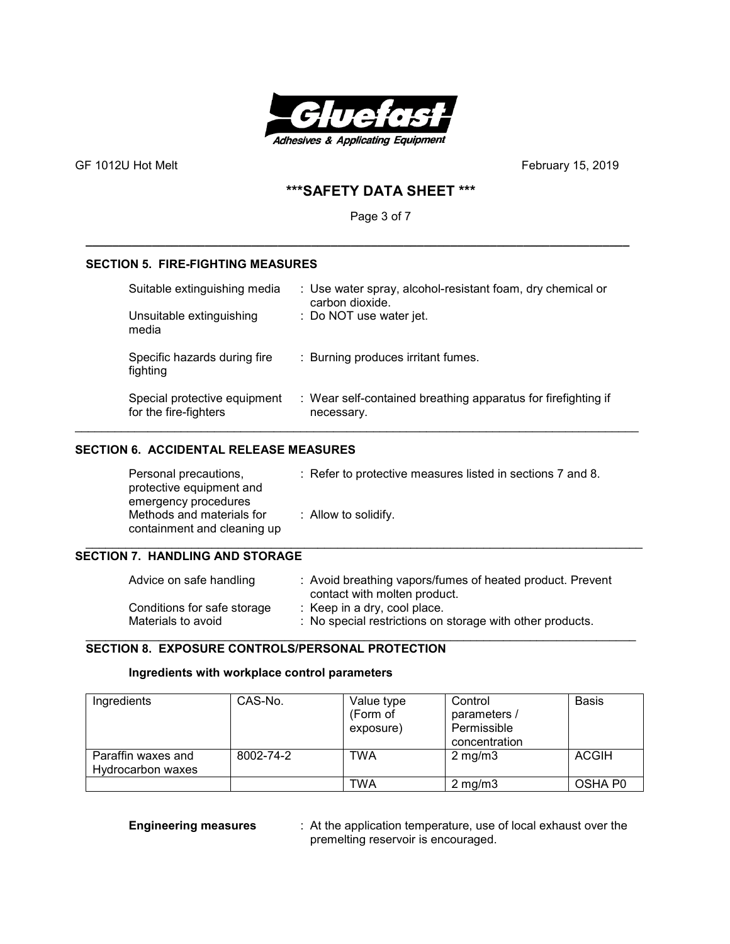

# **\*\*\*SAFETY DATA SHEET \*\*\***

Page 3 of 7

**\_\_\_\_\_\_\_\_\_\_\_\_\_\_\_\_\_\_\_\_\_\_\_\_\_\_\_\_\_\_\_\_\_\_\_\_\_\_\_\_\_\_\_\_\_\_\_\_\_\_\_\_\_\_\_\_\_\_\_\_\_\_\_\_\_\_\_\_\_\_\_\_\_\_\_\_\_\_\_\_\_\_** 

# **SECTION 5. FIRE-FIGHTING MEASURES**

| Suitable extinguishing media<br>Unsuitable extinguishing<br>media | : Use water spray, alcohol-resistant foam, dry chemical or<br>carbon dioxide.<br>: Do NOT use water jet. |
|-------------------------------------------------------------------|----------------------------------------------------------------------------------------------------------|
| Specific hazards during fire<br>fighting                          | : Burning produces irritant fumes.                                                                       |
| Special protective equipment<br>for the fire-fighters             | : Wear self-contained breathing apparatus for firefighting if<br>necessary.                              |

## **SECTION 6. ACCIDENTAL RELEASE MEASURES**

| Personal precautions,<br>protective equipment and<br>emergency procedures | : Refer to protective measures listed in sections 7 and 8. |
|---------------------------------------------------------------------------|------------------------------------------------------------|
| Methods and materials for<br>containment and cleaning up                  | : Allow to solidify.                                       |

# **SECTION 7. HANDLING AND STORAGE**

| Advice on safe handling     | : Avoid breathing vapors/fumes of heated product. Prevent<br>contact with molten product. |
|-----------------------------|-------------------------------------------------------------------------------------------|
| Conditions for safe storage | : Keep in a dry, cool place.                                                              |
| Materials to avoid          | : No special restrictions on storage with other products.                                 |

# **SECTION 8. EXPOSURE CONTROLS/PERSONAL PROTECTION**

## **Ingredients with workplace control parameters**

| Ingredients                             | CAS-No.   | Value type<br>(Form of<br>exposure) | Control<br>parameters /<br>Permissible | <b>Basis</b> |
|-----------------------------------------|-----------|-------------------------------------|----------------------------------------|--------------|
|                                         |           |                                     | concentration                          |              |
| Paraffin waxes and<br>Hydrocarbon waxes | 8002-74-2 | TWA                                 | $2 \text{ mg/m}$                       | <b>ACGIH</b> |
|                                         |           | TWA                                 | $2 \text{ mg/m}$                       | OSHA P0      |

**Engineering measures** : At the application temperature, use of local exhaust over the premelting reservoir is encouraged.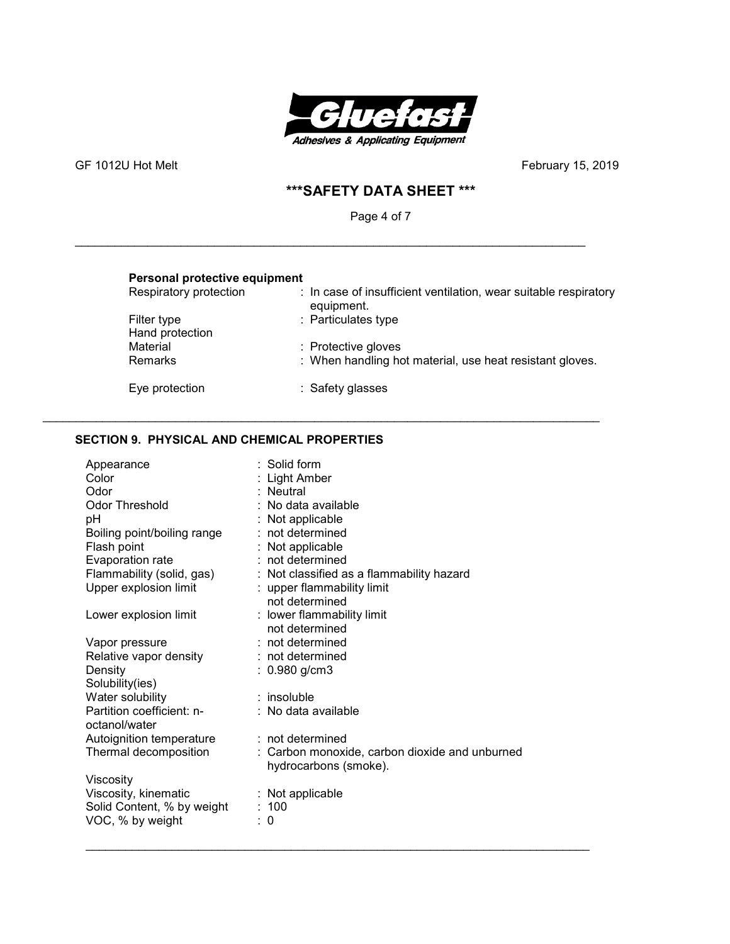

GF 1012U Hot Melt **GF 1012U Hot Melt February 15, 2019** 

# **\*\*\*SAFETY DATA SHEET \*\*\***

Page 4 of 7

\_\_\_\_\_\_\_\_\_\_\_\_\_\_\_\_\_\_\_\_\_\_\_\_\_\_\_\_\_\_\_\_\_\_\_\_\_\_\_\_\_\_\_\_\_\_\_\_\_\_\_\_\_\_\_\_\_\_\_\_\_\_\_\_\_\_\_\_\_\_\_\_\_\_\_\_\_

\_\_\_\_\_\_\_\_\_\_\_\_\_\_\_\_\_\_\_\_\_\_\_\_\_\_\_\_\_\_\_\_\_\_\_\_\_\_\_\_\_\_\_\_\_\_\_\_\_\_\_\_\_\_\_\_\_\_\_\_\_\_\_\_\_\_\_\_\_\_\_\_\_\_\_\_\_\_\_\_\_\_\_\_

| Personal protective equipment  |                                                                                |
|--------------------------------|--------------------------------------------------------------------------------|
| Respiratory protection         | : In case of insufficient ventilation, wear suitable respiratory<br>equipment. |
| Filter type<br>Hand protection | : Particulates type                                                            |
| Material                       | : Protective gloves                                                            |
| Remarks                        | : When handling hot material, use heat resistant gloves.                       |
| Eye protection                 | : Safety glasses                                                               |

# **SECTION 9. PHYSICAL AND CHEMICAL PROPERTIES**

| Appearance<br>Color<br>Odor<br><b>Odor Threshold</b><br>pH<br>Boiling point/boiling range<br>Flash point<br>Evaporation rate<br>Flammability (solid, gas)<br>Upper explosion limit | $:$ Solid form<br>Light Amber<br>: Neutral<br>: No data available<br>: Not applicable<br>$:$ not determined<br>Not applicable<br>$:$ not determined<br>: Not classified as a flammability hazard<br>: upper flammability limit |
|------------------------------------------------------------------------------------------------------------------------------------------------------------------------------------|--------------------------------------------------------------------------------------------------------------------------------------------------------------------------------------------------------------------------------|
| Lower explosion limit                                                                                                                                                              | not determined<br>: lower flammability limit<br>not determined                                                                                                                                                                 |
| Vapor pressure<br>Relative vapor density<br>Density<br>Solubility(ies)                                                                                                             | $:$ not determined<br>$:$ not determined<br>: $0.980$ g/cm3                                                                                                                                                                    |
| Water solubility<br>Partition coefficient: n-<br>octanol/water                                                                                                                     | $:$ insoluble<br>: No data available                                                                                                                                                                                           |
| Autoignition temperature<br>Thermal decomposition                                                                                                                                  | $:$ not determined<br>: Carbon monoxide, carbon dioxide and unburned<br>hydrocarbons (smoke).                                                                                                                                  |
| Viscosity<br>Viscosity, kinematic<br>Solid Content, % by weight<br>VOC, % by weight                                                                                                | $:$ Not applicable<br>:100<br>0                                                                                                                                                                                                |

\_\_\_\_\_\_\_\_\_\_\_\_\_\_\_\_\_\_\_\_\_\_\_\_\_\_\_\_\_\_\_\_\_\_\_\_\_\_\_\_\_\_\_\_\_\_\_\_\_\_\_\_\_\_\_\_\_\_\_\_\_\_\_\_\_\_\_\_\_\_\_\_\_\_\_\_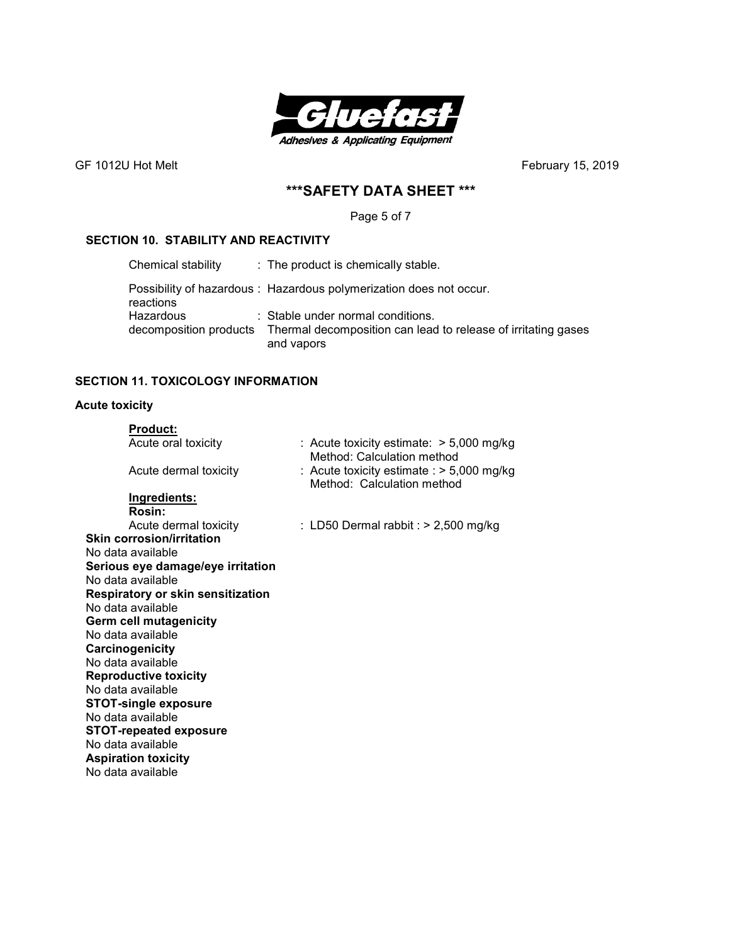

# **\*\*\*SAFETY DATA SHEET \*\*\***

Page 5 of 7

## **SECTION 10. STABILITY AND REACTIVITY**

| Chemical stability                  | : The product is chemically stable.                                                                              |
|-------------------------------------|------------------------------------------------------------------------------------------------------------------|
| reactions                           | Possibility of hazardous: Hazardous polymerization does not occur.                                               |
| Hazardous<br>decomposition products | : Stable under normal conditions.<br>Thermal decomposition can lead to release of irritating gases<br>and vapors |

# **SECTION 11. TOXICOLOGY INFORMATION**

# **Acute toxicity**

| <b>Product:</b>                   |                                                                           |  |  |  |
|-----------------------------------|---------------------------------------------------------------------------|--|--|--|
| Acute oral toxicity               | : Acute toxicity estimate: $> 5,000$ mg/kg<br>Method: Calculation method  |  |  |  |
| Acute dermal toxicity             | : Acute toxicity estimate : $>$ 5,000 mg/kg<br>Method: Calculation method |  |  |  |
| <b>Ingredients:</b>               |                                                                           |  |  |  |
| Rosin:                            |                                                                           |  |  |  |
| Acute dermal toxicity             | : LD50 Dermal rabbit : $>$ 2,500 mg/kg                                    |  |  |  |
| <b>Skin corrosion/irritation</b>  |                                                                           |  |  |  |
| No data available                 |                                                                           |  |  |  |
| Serious eye damage/eye irritation |                                                                           |  |  |  |
| No data available                 |                                                                           |  |  |  |
| Respiratory or skin sensitization |                                                                           |  |  |  |
| No data available                 |                                                                           |  |  |  |
| <b>Germ cell mutagenicity</b>     |                                                                           |  |  |  |
| No data available                 |                                                                           |  |  |  |
| Carcinogenicity                   |                                                                           |  |  |  |
| No data available                 |                                                                           |  |  |  |
| <b>Reproductive toxicity</b>      |                                                                           |  |  |  |
| No data available                 |                                                                           |  |  |  |
| <b>STOT-single exposure</b>       |                                                                           |  |  |  |
| No data available                 |                                                                           |  |  |  |
| <b>STOT-repeated exposure</b>     |                                                                           |  |  |  |
| No data available                 |                                                                           |  |  |  |
| <b>Aspiration toxicity</b>        |                                                                           |  |  |  |
| No data available                 |                                                                           |  |  |  |
|                                   |                                                                           |  |  |  |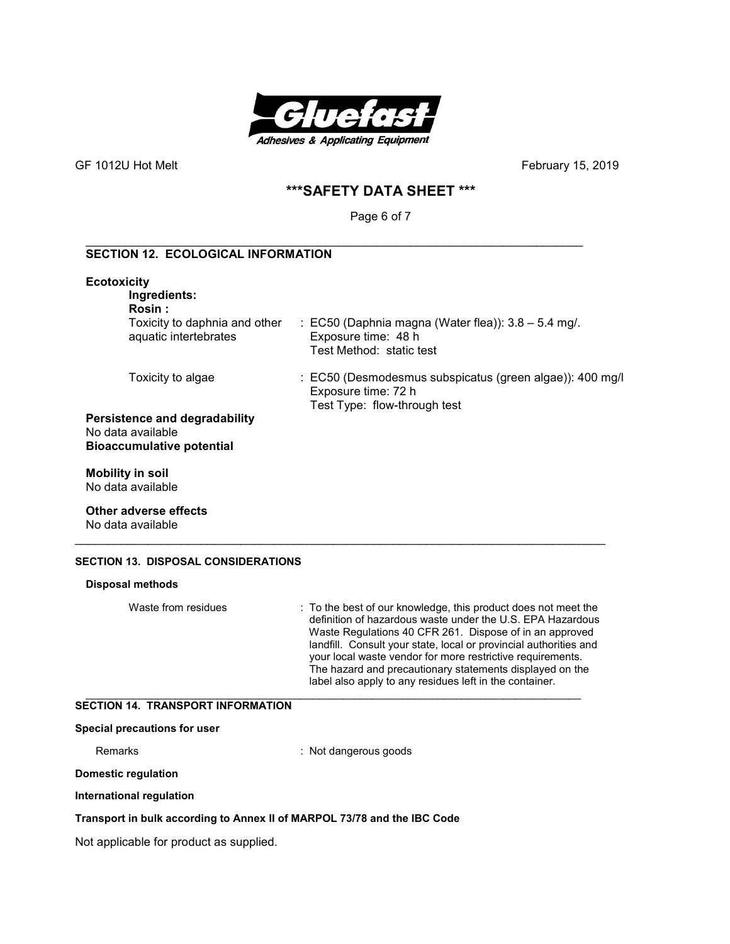

# **\*\*\*SAFETY DATA SHEET \*\*\***

Page 6 of 7

#### \_\_\_\_\_\_\_\_\_\_\_\_\_\_\_\_\_\_\_\_\_\_\_\_\_\_\_\_\_\_\_\_\_\_\_\_\_\_\_\_\_\_\_\_\_\_\_\_\_\_\_\_\_\_\_\_\_\_\_\_\_\_\_\_\_\_\_\_\_\_\_\_\_\_\_ **SECTION 12. ECOLOGICAL INFORMATION**

| <b>Ecotoxicity</b><br>Ingredients:<br>Rosin :                                   |                                                                                                                 |
|---------------------------------------------------------------------------------|-----------------------------------------------------------------------------------------------------------------|
| Toxicity to daphnia and other<br>aquatic intertebrates                          | : EC50 (Daphnia magna (Water flea)): $3.8 - 5.4$ mg/.<br>Exposure time: 48 h<br>Test Method: static test        |
| Toxicity to algae                                                               | : EC50 (Desmodesmus subspicatus (green algae)): 400 mg/l<br>Exposure time: 72 h<br>Test Type: flow-through test |
| Persistence and degradability<br>No data available<br>Bioaccumulative potential |                                                                                                                 |
| <b>Mobility in soil</b>                                                         |                                                                                                                 |

No data available

**Other adverse effects**  No data available

# **SECTION 13. DISPOSAL CONSIDERATIONS**

| Disposal methods                         |                                                                                                                                                                                                                                                                                                                                                                                                                                                   |
|------------------------------------------|---------------------------------------------------------------------------------------------------------------------------------------------------------------------------------------------------------------------------------------------------------------------------------------------------------------------------------------------------------------------------------------------------------------------------------------------------|
| Waste from residues                      | : To the best of our knowledge, this product does not meet the<br>definition of hazardous waste under the U.S. EPA Hazardous<br>Waste Regulations 40 CFR 261. Dispose of in an approved<br>landfill. Consult your state, local or provincial authorities and<br>your local waste vendor for more restrictive requirements.<br>The hazard and precautionary statements displayed on the<br>label also apply to any residues left in the container. |
| <b>SECTION 14. TRANSPORT INFORMATION</b> |                                                                                                                                                                                                                                                                                                                                                                                                                                                   |
| Special precautions for user             |                                                                                                                                                                                                                                                                                                                                                                                                                                                   |
| Remarks                                  | : Not dangerous goods                                                                                                                                                                                                                                                                                                                                                                                                                             |
| Domestic regulation                      |                                                                                                                                                                                                                                                                                                                                                                                                                                                   |
| .                                        |                                                                                                                                                                                                                                                                                                                                                                                                                                                   |

\_\_\_\_\_\_\_\_\_\_\_\_\_\_\_\_\_\_\_\_\_\_\_\_\_\_\_\_\_\_\_\_\_\_\_\_\_\_\_\_\_\_\_\_\_\_\_\_\_\_\_\_\_\_\_\_\_\_\_\_\_\_\_\_\_\_\_\_\_\_\_\_\_\_\_\_\_\_\_\_

**International regulation** 

#### **Transport in bulk according to Annex II of MARPOL 73/78 and the IBC Code**

Not applicable for product as supplied.